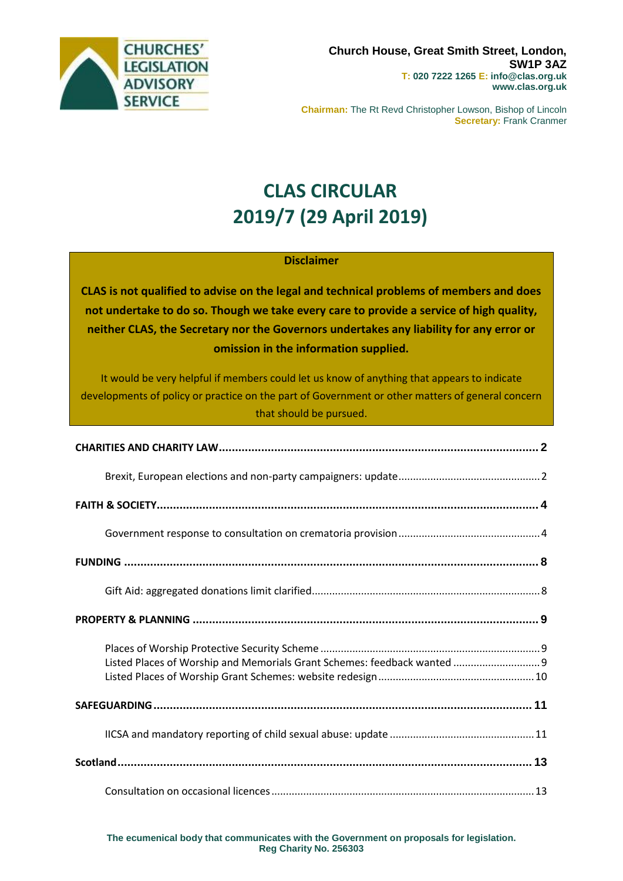

**Chairman:** The Rt Revd Christopher Lowson, Bishop of Lincoln **Secretary:** Frank Cranmer

# **CLAS CIRCULAR 2019/7 (29 April 2019)**

### **Disclaimer**

**CLAS is not qualified to advise on the legal and technical problems of members and does not undertake to do so. Though we take every care to provide a service of high quality, neither CLAS, the Secretary nor the Governors undertakes any liability for any error or omission in the information supplied.**

It would be very helpful if members could let us know of anything that appears to indicate developments of policy or practice on the part of Government or other matters of general concern that should be pursued.

| Listed Places of Worship and Memorials Grant Schemes: feedback wanted  9 |  |
|--------------------------------------------------------------------------|--|
|                                                                          |  |
|                                                                          |  |
|                                                                          |  |
|                                                                          |  |

**The ecumenical body that communicates with the Government on proposals for legislation. Reg Charity No. 256303**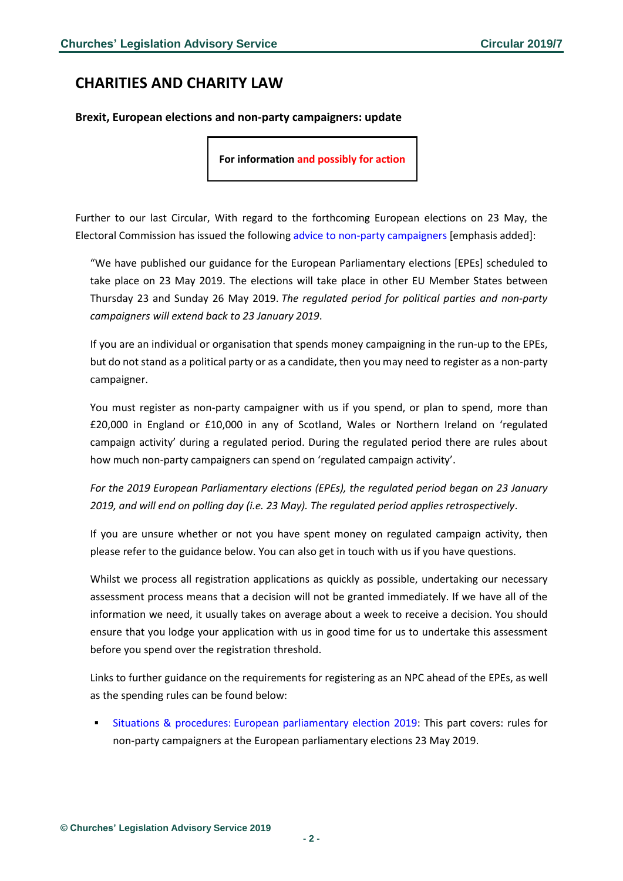# <span id="page-1-0"></span>**CHARITIES AND CHARITY LAW**

#### <span id="page-1-1"></span>**Brexit, European elections and non-party campaigners: update**

**For information and possibly for action**

Further to our last Circular, With regard to the forthcoming European elections on 23 May, the Electoral Commission has issued the following advice to non-party [campaigners](https://www.electoralcommission.org.uk/i-am-a/party-or-campaigner/non-party-campaigners/2019-elections) [emphasis added]:

"We have published our guidance for the European Parliamentary elections [EPEs] scheduled to take place on 23 May 2019. The elections will take place in other EU Member States between Thursday 23 and Sunday 26 May 2019. *The regulated period for political parties and non-party campaigners will extend back to 23 January 2019*.

If you are an individual or organisation that spends money campaigning in the run-up to the EPEs, but do not stand as a political party or as a candidate, then you may need to register as a non-party campaigner.

You must register as non-party campaigner with us if you spend, or plan to spend, more than £20,000 in England or £10,000 in any of Scotland, Wales or Northern Ireland on 'regulated campaign activity' during a regulated period. During the regulated period there are rules about how much non-party campaigners can spend on 'regulated campaign activity'.

*For the 2019 European Parliamentary elections (EPEs), the regulated period began on 23 January 2019, and will end on polling day (i.e. 23 May). The regulated period applies retrospectively*.

If you are unsure whether or not you have spent money on regulated campaign activity, then please refer to the guidance below. You can also get in touch with us if you have questions.

Whilst we process all registration applications as quickly as possible, undertaking our necessary assessment process means that a decision will not be granted immediately. If we have all of the information we need, it usually takes on average about a week to receive a decision. You should ensure that you lodge your application with us in good time for us to undertake this assessment before you spend over the registration threshold.

Links to further guidance on the requirements for registering as an NPC ahead of the EPEs, as well as the spending rules can be found below:

Situations & procedures: European [parliamentary](https://www.electoralcommission.org.uk/__data/assets/pdf_file/0016/252142/European-Parliament-NPC-2019.pdf) election 2019: This part covers: rules for non-party campaigners at the European parliamentary elections 23 May 2019.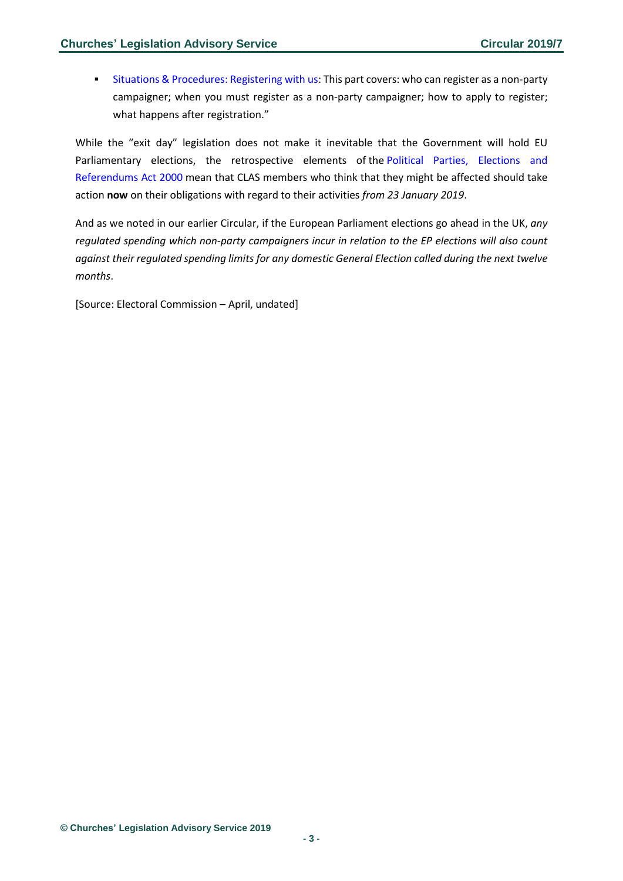**EXECUTE:** Situations & [Procedures:](https://www.electoralcommission.org.uk/__data/assets/pdf_file/0020/252146/Registering-NPC-gen.pdf) Registering with us: This part covers: who can register as a non-party campaigner; when you must register as a non-party campaigner; how to apply to register; what happens after registration."

While the "exit day" legislation does not make it inevitable that the Government will hold EU Parliamentary elections, the retrospective elements of the Political Parties, [Elections](http://www.legislation.gov.uk/ukpga/2000/41/contents) and [Referendums](http://www.legislation.gov.uk/ukpga/2000/41/contents) Act 2000 mean that CLAS members who think that they might be affected should take action **now** on their obligations with regard to their activities *from 23 January 2019*.

And as we noted in our earlier Circular, if the European Parliament elections go ahead in the UK, *any regulated spending which non-party campaigners incur in relation to the EP elections will also count against their regulated spending limits for any domestic General Election called during the next twelve months*.

[Source: Electoral Commission – April, undated]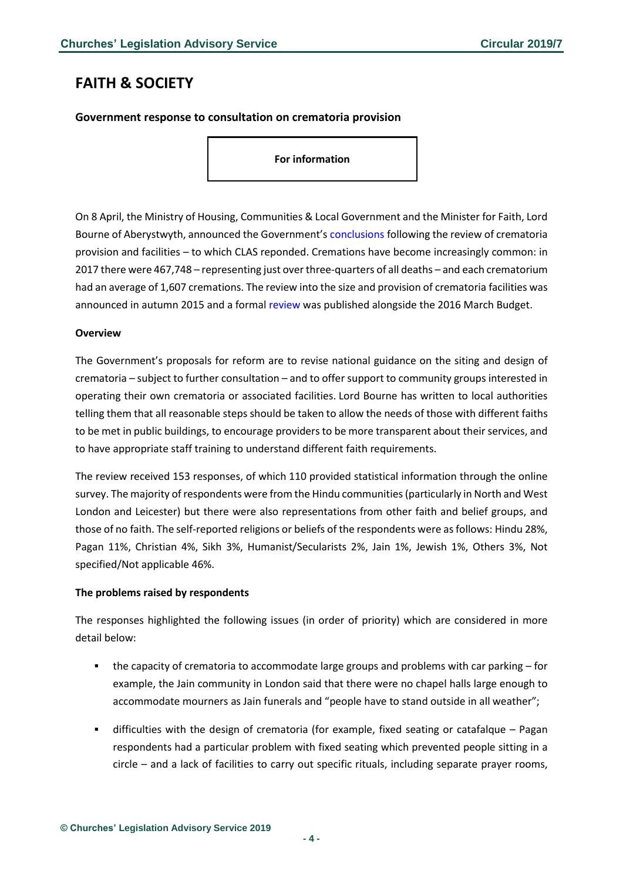# <span id="page-3-0"></span>**FAITH & SOCIETY**

### <span id="page-3-1"></span>**Government response to consultation on crematoria provision**

**For information**

On 8 April, the Ministry of Housing, Communities & Local Government and the Minister for Faith, Lord Bourne of Aberystwyth, announced the Government's [conclusions](https://assets.publishing.service.gov.uk/government/uploads/system/uploads/attachment_data/file/793588/Crematoria_Review_-_government_response.pdf) following the review of crematoria provision and facilities – to which CLAS reponded. Cremations have become increasingly common: in 2017 there were 467,748 – representing just over three-quarters of all deaths – and each crematorium had an average of 1,607 cremations. The review into the size and provision of crematoria facilities was announced in autumn 2015 and a formal [review](https://assets.publishing.service.gov.uk/government/uploads/system/uploads/attachment_data/file/508321/Review_of_Crematoria_Provision_and_Facilities_2016.pdf) was published alongside the 2016 March Budget.

#### **Overview**

The Government's proposals for reform are to revise national guidance on the siting and design of crematoria – subject to further consultation – and to offer support to community groups interested in operating their own crematoria or associated facilities. Lord Bourne has written to local authorities telling them that all reasonable steps should be taken to allow the needs of those with different faiths to be met in public buildings, to encourage providers to be more transparent about their services, and to have appropriate staff training to understand different faith requirements.

The review received 153 responses, of which 110 provided statistical information through the online survey. The majority ofrespondents were from the Hindu communities(particularly in North and West London and Leicester) but there were also representations from other faith and belief groups, and those of no faith. The self-reported religions or beliefs of the respondents were as follows: Hindu 28%, Pagan 11%, Christian 4%, Sikh 3%, Humanist/Secularists 2%, Jain 1%, Jewish 1%, Others 3%, Not specified/Not applicable 46%.

#### **The problems raised by respondents**

The responses highlighted the following issues (in order of priority) which are considered in more detail below:

- the capacity of crematoria to accommodate large groups and problems with car parking for example, the Jain community in London said that there were no chapel halls large enough to accommodate mourners as Jain funerals and "people have to stand outside in all weather";
- difficulties with the design of crematoria (for example, fixed seating or catafalque Pagan respondents had a particular problem with fixed seating which prevented people sitting in a circle – and a lack of facilities to carry out specific rituals, including separate prayer rooms,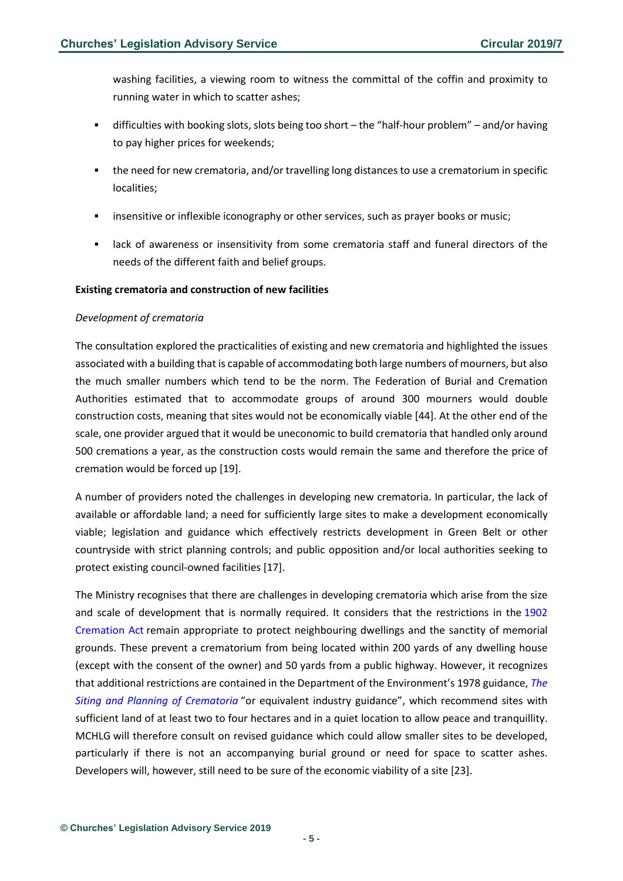washing facilities, a viewing room to witness the committal of the coffin and proximity to running water in which to scatter ashes;

- **•** difficulties with booking slots, slots being too short the "half-hour problem" and/or having to pay higher prices for weekends;
- the need for new crematoria, and/or travelling long distances to use a crematorium in specific localities;
- **•** insensitive or inflexible iconography or other services, such as prayer books or music;
- **■** lack of awareness or insensitivity from some crematoria staff and funeral directors of the needs of the different faith and belief groups.

#### **Existing crematoria and construction of new facilities**

#### *Development of crematoria*

The consultation explored the practicalities of existing and new crematoria and highlighted the issues associated with a building that is capable of accommodating both large numbers of mourners, but also the much smaller numbers which tend to be the norm. The Federation of Burial and Cremation Authorities estimated that to accommodate groups of around 300 mourners would double construction costs, meaning that sites would not be economically viable [44]. At the other end of the scale, one provider argued that it would be uneconomic to build crematoria that handled only around 500 cremations a year, as the construction costs would remain the same and therefore the price of cremation would be forced up [19].

A number of providers noted the challenges in developing new crematoria. In particular, the lack of available or affordable land; a need for sufficiently large sites to make a development economically viable; legislation and guidance which effectively restricts development in Green Belt or other countryside with strict planning controls; and public opposition and/or local authorities seeking to protect existing council-owned facilities [17].

The Ministry recognises that there are challenges in developing crematoria which arise from the size and scale of development that is normally required. It considers that the restrictions in the [1902](http://www.legislation.gov.uk/ukpga/Edw7/2/8/contents) [Cremation](http://www.legislation.gov.uk/ukpga/Edw7/2/8/contents) Act remain appropriate to protect neighbouring dwellings and the sanctity of memorial grounds. These prevent a crematorium from being located within 200 yards of any dwelling house (except with the consent of the owner) and 50 yards from a public highway. However, it recognizes that additional restrictions are contained in the Department of the Environment's 1978 guidance, *[The](https://www.cremation.org.uk/content/files/Siting%20%20and%20Planning%281%29.pdf) Siting and Planning of [Crematoria](https://www.cremation.org.uk/content/files/Siting%20%20and%20Planning%281%29.pdf)* "or equivalent industry guidance", which recommend sites with sufficient land of at least two to four hectares and in a quiet location to allow peace and tranquillity. MCHLG will therefore consult on revised guidance which could allow smaller sites to be developed, particularly if there is not an accompanying burial ground or need for space to scatter ashes. Developers will, however, still need to be sure of the economic viability of a site [23].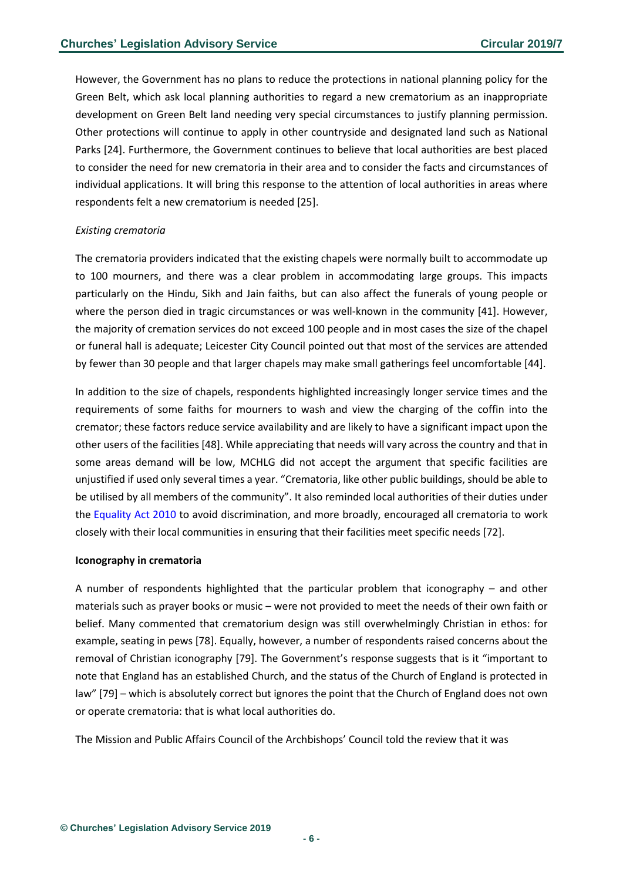However, the Government has no plans to reduce the protections in national planning policy for the Green Belt, which ask local planning authorities to regard a new crematorium as an inappropriate development on Green Belt land needing very special circumstances to justify planning permission. Other protections will continue to apply in other countryside and designated land such as National Parks [24]. Furthermore, the Government continues to believe that local authorities are best placed to consider the need for new crematoria in their area and to consider the facts and circumstances of individual applications. It will bring this response to the attention of local authorities in areas where respondents felt a new crematorium is needed [25].

#### *Existing crematoria*

The crematoria providers indicated that the existing chapels were normally built to accommodate up to 100 mourners, and there was a clear problem in accommodating large groups. This impacts particularly on the Hindu, Sikh and Jain faiths, but can also affect the funerals of young people or where the person died in tragic circumstances or was well-known in the community [41]. However, the majority of cremation services do not exceed 100 people and in most cases the size of the chapel or funeral hall is adequate; Leicester City Council pointed out that most of the services are attended by fewer than 30 people and that larger chapels may make small gatherings feel uncomfortable [44].

In addition to the size of chapels, respondents highlighted increasingly longer service times and the requirements of some faiths for mourners to wash and view the charging of the coffin into the cremator; these factors reduce service availability and are likely to have a significant impact upon the other users of the facilities [48]. While appreciating that needs will vary across the country and that in some areas demand will be low, MCHLG did not accept the argument that specific facilities are unjustified if used only several times a year. "Crematoria, like other public buildings, should be able to be utilised by all members of the community". It also reminded local authorities of their duties under the [Equality](https://www.legislation.gov.uk/ukpga/2010/15/contents) Act 2010 to avoid discrimination, and more broadly, encouraged all crematoria to work closely with their local communities in ensuring that their facilities meet specific needs [72].

#### **Iconography in crematoria**

A number of respondents highlighted that the particular problem that iconography – and other materials such as prayer books or music – were not provided to meet the needs of their own faith or belief. Many commented that crematorium design was still overwhelmingly Christian in ethos: for example, seating in pews [78]. Equally, however, a number of respondents raised concerns about the removal of Christian iconography [79]. The Government's response suggests that is it "important to note that England has an established Church, and the status of the Church of England is protected in law" [79] – which is absolutely correct but ignores the point that the Church of England does not own or operate crematoria: that is what local authorities do.

The Mission and Public Affairs Council of the Archbishops' Council told the review that it was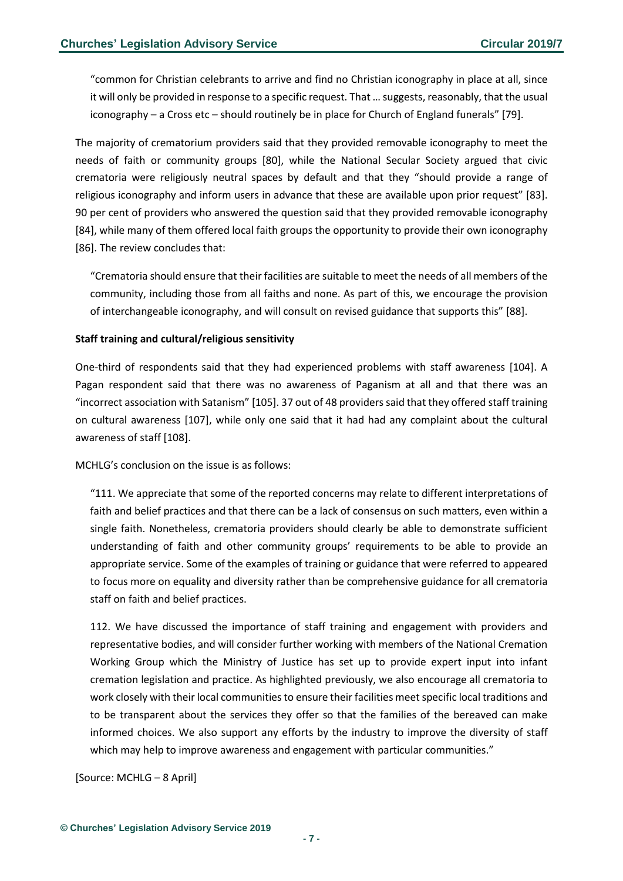"common for Christian celebrants to arrive and find no Christian iconography in place at all, since it will only be provided in response to a specific request. That … suggests, reasonably, that the usual iconography – a Cross etc – should routinely be in place for Church of England funerals" [79].

The majority of crematorium providers said that they provided removable iconography to meet the needs of faith or community groups [80], while the National Secular Society argued that civic crematoria were religiously neutral spaces by default and that they "should provide a range of religious iconography and inform users in advance that these are available upon prior request" [83]. 90 per cent of providers who answered the question said that they provided removable iconography [84], while many of them offered local faith groups the opportunity to provide their own iconography [86]. The review concludes that:

"Crematoria should ensure that their facilities are suitable to meet the needs of all members of the community, including those from all faiths and none. As part of this, we encourage the provision of interchangeable iconography, and will consult on revised guidance that supports this" [88].

#### **Staff training and cultural/religious sensitivity**

One-third of respondents said that they had experienced problems with staff awareness [104]. A Pagan respondent said that there was no awareness of Paganism at all and that there was an "incorrect association with Satanism" [105]. 37 out of 48 providers said that they offered staff training on cultural awareness [107], while only one said that it had had any complaint about the cultural awareness of staff [108].

MCHLG's conclusion on the issue is as follows:

"111. We appreciate that some of the reported concerns may relate to different interpretations of faith and belief practices and that there can be a lack of consensus on such matters, even within a single faith. Nonetheless, crematoria providers should clearly be able to demonstrate sufficient understanding of faith and other community groups' requirements to be able to provide an appropriate service. Some of the examples of training or guidance that were referred to appeared to focus more on equality and diversity rather than be comprehensive guidance for all crematoria staff on faith and belief practices.

112. We have discussed the importance of staff training and engagement with providers and representative bodies, and will consider further working with members of the National Cremation Working Group which the Ministry of Justice has set up to provide expert input into infant cremation legislation and practice. As highlighted previously, we also encourage all crematoria to work closely with their local communities to ensure their facilities meet specific local traditions and to be transparent about the services they offer so that the families of the bereaved can make informed choices. We also support any efforts by the industry to improve the diversity of staff which may help to improve awareness and engagement with particular communities."

[Source: MCHLG – 8 April]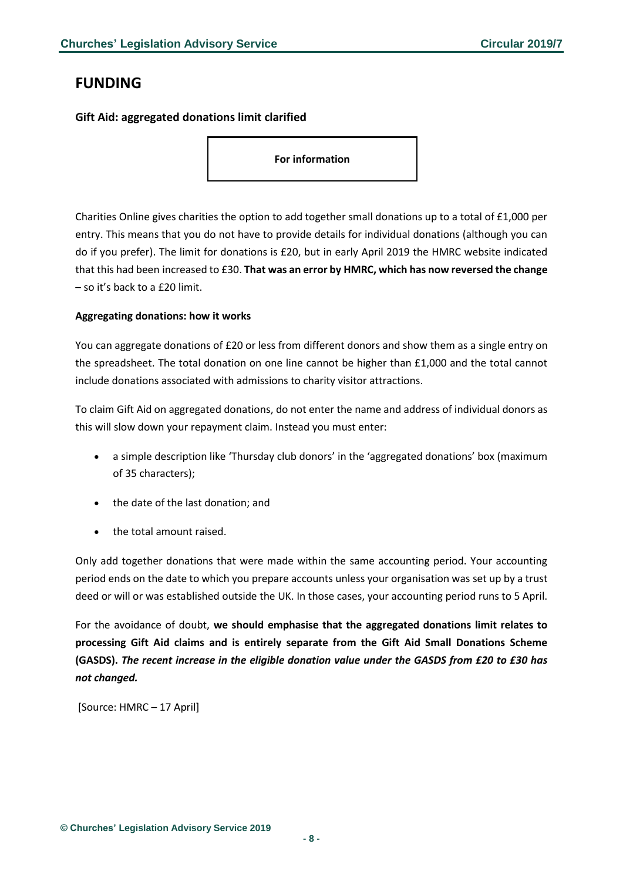# <span id="page-7-0"></span>**FUNDING**

### <span id="page-7-1"></span>**Gift Aid: aggregated donations limit clarified**

**For information**

Charities Online gives charities the option to add together small donations up to a total of £1,000 per entry. This means that you do not have to provide details for individual donations (although you can do if you prefer). The limit for donations is £20, but in early April 2019 the HMRC website indicated that this had been increased to £30. **That was an error by HMRC, which has now reversed the change** – so it's back to a £20 limit.

### **Aggregating donations: how it works**

You can aggregate donations of £20 or less from different donors and show them as a single entry on the spreadsheet. The total donation on one line cannot be higher than £1,000 and the total cannot include donations associated with admissions to charity visitor attractions.

To claim Gift Aid on aggregated donations, do not enter the name and address of individual donors as this will slow down your repayment claim. Instead you must enter:

- a simple description like 'Thursday club donors' in the 'aggregated donations' box (maximum of 35 characters);
- the date of the last donation; and
- the total amount raised.

Only add together donations that were made within the same accounting period. Your accounting period ends on the date to which you prepare accounts unless your organisation was set up by a trust deed or will or was established outside the UK. In those cases, your accounting period runs to 5 April.

For the avoidance of doubt, **we should emphasise that the aggregated donations limit relates to processing Gift Aid claims and is entirely separate from the Gift Aid Small Donations Scheme (GASDS).** *The recent increase in the eligible donation value under the GASDS from £20 to £30 has not changed.*

[Source: HMRC – 17 April]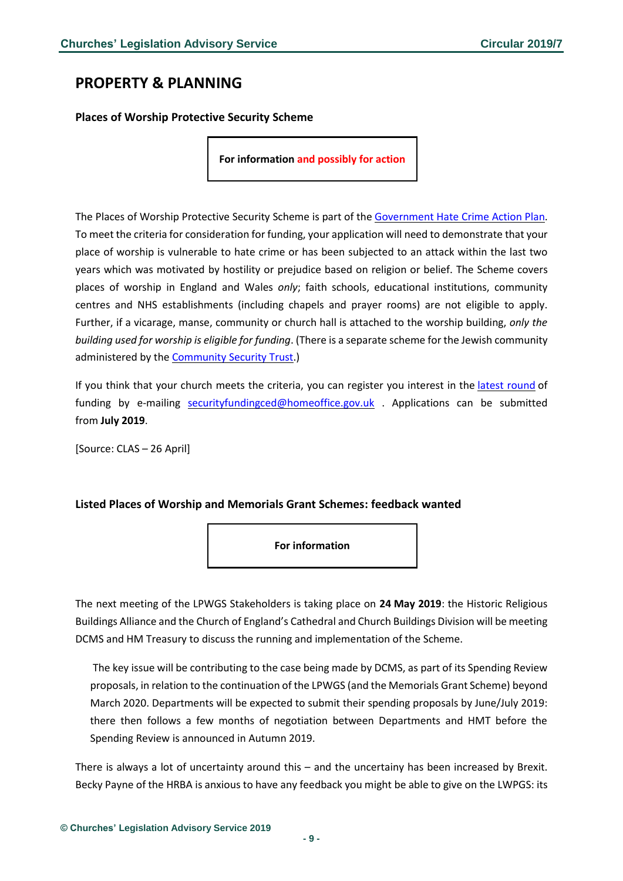# <span id="page-8-0"></span>**PROPERTY & PLANNING**

<span id="page-8-1"></span>**Places of Worship Protective Security Scheme**

**For information and possibly for action**

The Places of Worship Protective Security Scheme is part of the [Government](https://www.gov.uk/government/publications/hate-crime-action-plan-2016) Hate Crime Action Plan. To meet the criteria for consideration for funding, your application will need to demonstrate that your place of worship is vulnerable to hate crime or has been subjected to an attack within the last two years which was motivated by hostility or prejudice based on religion or belief. The Scheme covers places of worship in England and Wales *only*; faith schools, educational institutions, community centres and NHS establishments (including chapels and prayer rooms) are not eligible to apply. Further, if a vicarage, manse, community or church hall is attached to the worship building, *only the building used for worship is eligible for funding*. (There is a separate scheme for the Jewish community administered by the [Community](http://cst.org.uk/) Security Trust.)

If you think that your church meets the criteria, you can register you interest in the latest [round](https://www.gov.uk/government/news/places-of-worship-scheme-open-for-expressions-of-interest-ahead-of-religious-holidays) of funding by e-mailing [securityfundingced@homeoffice.gov.uk](mailto:securityfundingced@homeoffice.gov.uk) . Applications can be submitted from **July 2019**.

[Source: CLAS – 26 April]

### <span id="page-8-2"></span>**Listed Places of Worship and Memorials Grant Schemes: feedback wanted**

**For information**

The next meeting of the LPWGS Stakeholders is taking place on **24 May 2019**: the Historic Religious Buildings Alliance and the Church of England's Cathedral and Church Buildings Division will be meeting DCMS and HM Treasury to discuss the running and implementation of the Scheme.

The key issue will be contributing to the case being made by DCMS, as part of its Spending Review proposals, in relation to the continuation of the LPWGS (and the Memorials Grant Scheme) beyond March 2020. Departments will be expected to submit their spending proposals by June/July 2019: there then follows a few months of negotiation between Departments and HMT before the Spending Review is announced in Autumn 2019.

There is always a lot of uncertainty around this – and the uncertainy has been increased by Brexit. Becky Payne of the HRBA is anxious to have any feedback you might be able to give on the LWPGS: its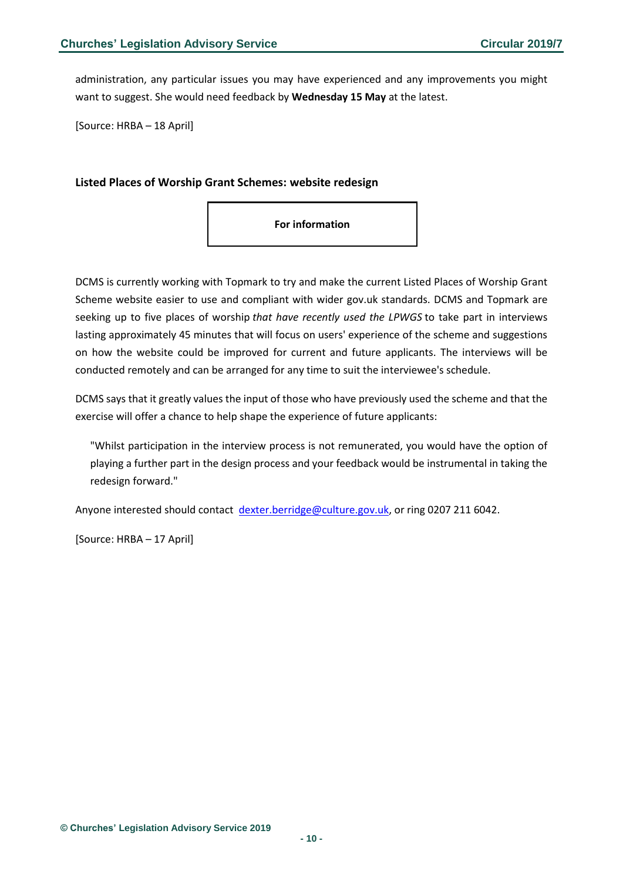administration, any particular issues you may have experienced and any improvements you might want to suggest. She would need feedback by **Wednesday 15 May** at the latest.

[Source: HRBA – 18 April]

#### <span id="page-9-0"></span>**Listed Places of Worship Grant Schemes: website redesign**



DCMS is currently working with Topmark to try and make the current Listed Places of Worship Grant Scheme website easier to use and compliant with wider gov.uk standards. DCMS and Topmark are seeking up to five places of worship *that have recently used the LPWGS* to take part in interviews lasting approximately 45 minutes that will focus on users' experience of the scheme and suggestions on how the website could be improved for current and future applicants. The interviews will be conducted remotely and can be arranged for any time to suit the interviewee's schedule.

DCMS says that it greatly values the input of those who have previously used the scheme and that the exercise will offer a chance to help shape the experience of future applicants:

"Whilst participation in the interview process is not remunerated, you would have the option of playing a further part in the design process and your feedback would be instrumental in taking the redesign forward."

Anyone interested should contact [dexter.berridge@culture.gov.uk,](mailto:dexter.berridge@culture.gov.uk) or ring 0207 211 6042.

[Source: HRBA – 17 April]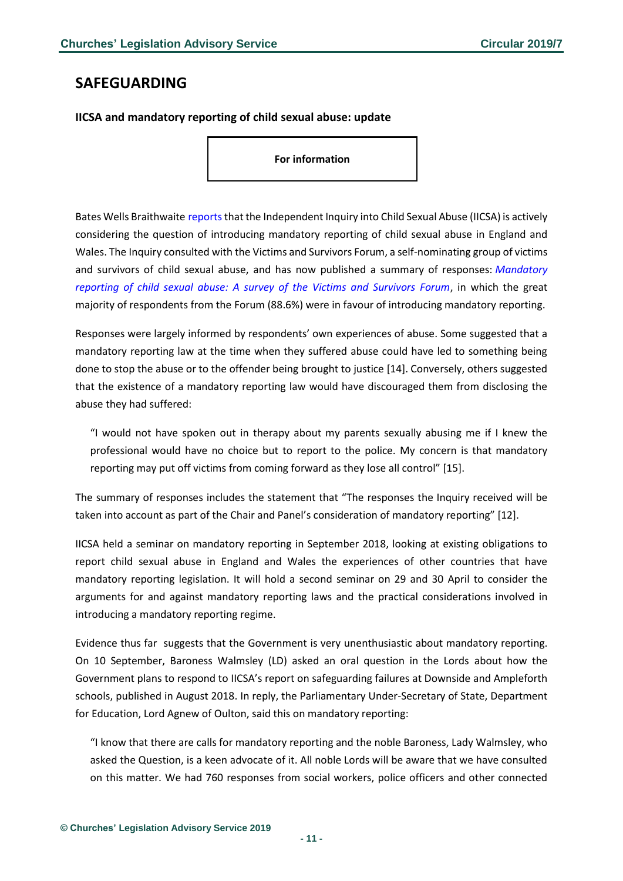# <span id="page-10-0"></span>**SAFEGUARDING**

<span id="page-10-1"></span>**IICSA and mandatory reporting of child sexual abuse: update**

**For information**

Bates Wells Braithwaite reports that the Independent Inquiry into Child Sexual Abuse (IICSA) is actively considering the question of introducing mandatory reporting of child sexual abuse in England and Wales. The Inquiry consulted with the Victims and Survivors Forum, a self-nominating group of victims and survivors of child sexual abuse, and has now published a summary of responses: *[Mandatory](https://www.iicsa.org.uk/key-documents/10597/view/mandatory-reporting-child-sexual-abuse-a-survey-victims-survivors-forum.pdf)  [reporting of child sexual abuse: A survey of the Victims and Survivors Forum](https://www.iicsa.org.uk/key-documents/10597/view/mandatory-reporting-child-sexual-abuse-a-survey-victims-survivors-forum.pdf)*, in which the great majority of respondents from the Forum (88.6%) were in favour of introducing mandatory reporting.

Responses were largely informed by respondents' own experiences of abuse. Some suggested that a mandatory reporting law at the time when they suffered abuse could have led to something being done to stop the abuse or to the offender being brought to justice [14]. Conversely, others suggested that the existence of a mandatory reporting law would have discouraged them from disclosing the abuse they had suffered:

"I would not have spoken out in therapy about my parents sexually abusing me if I knew the professional would have no choice but to report to the police. My concern is that mandatory reporting may put off victims from coming forward as they lose all control" [15].

The summary of responses includes the statement that "The responses the Inquiry received will be taken into account as part of the Chair and Panel's consideration of mandatory reporting" [12].

IICSA held a seminar on mandatory reporting in September 2018, looking at existing obligations to report child sexual abuse in England and Wales the experiences of other countries that have mandatory reporting legislation. It will hold a second seminar on 29 and 30 April to consider the arguments for and against mandatory reporting laws and the practical considerations involved in introducing a mandatory reporting regime.

Evidence thus far suggests that the Government is very unenthusiastic about mandatory reporting. On 10 September, Baroness Walmsley (LD) asked an oral question in the Lords about how the Government plans to respond to IICSA's report on safeguarding failures at Downside and Ampleforth schools, published in August 2018. In reply, the Parliamentary Under-Secretary of State, Department for Education, Lord Agnew of Oulton, said this on mandatory reporting:

"I know that there are calls for mandatory reporting and the noble Baroness, Lady Walmsley, who asked the Question, is a keen advocate of it. All noble Lords will be aware that we have consulted on this matter. We had 760 responses from social workers, police officers and other connected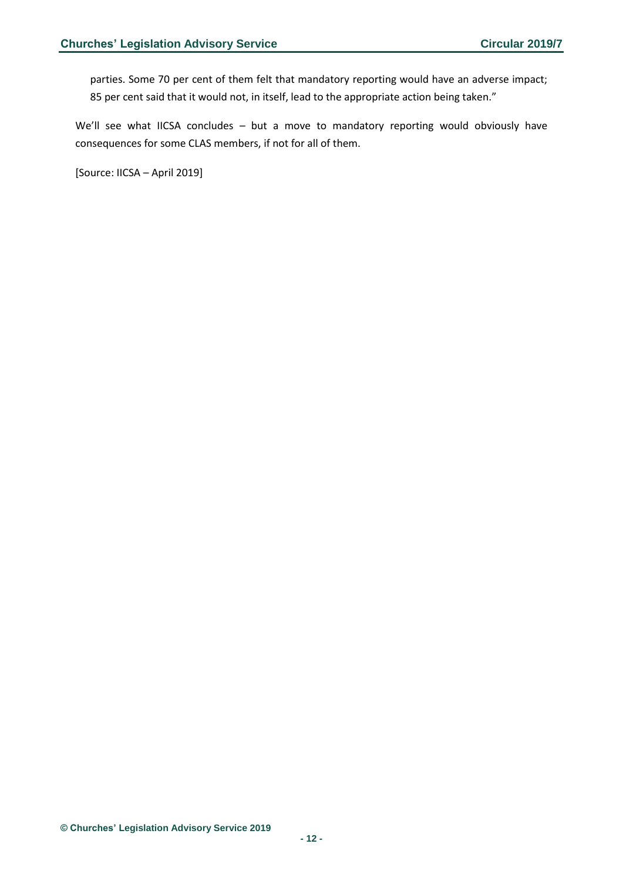parties. Some 70 per cent of them felt that mandatory reporting would have an adverse impact; 85 per cent said that it would not, in itself, lead to the appropriate action being taken."

We'll see what IICSA concludes - but a move to mandatory reporting would obviously have consequences for some CLAS members, if not for all of them.

[Source: IICSA – April 2019]